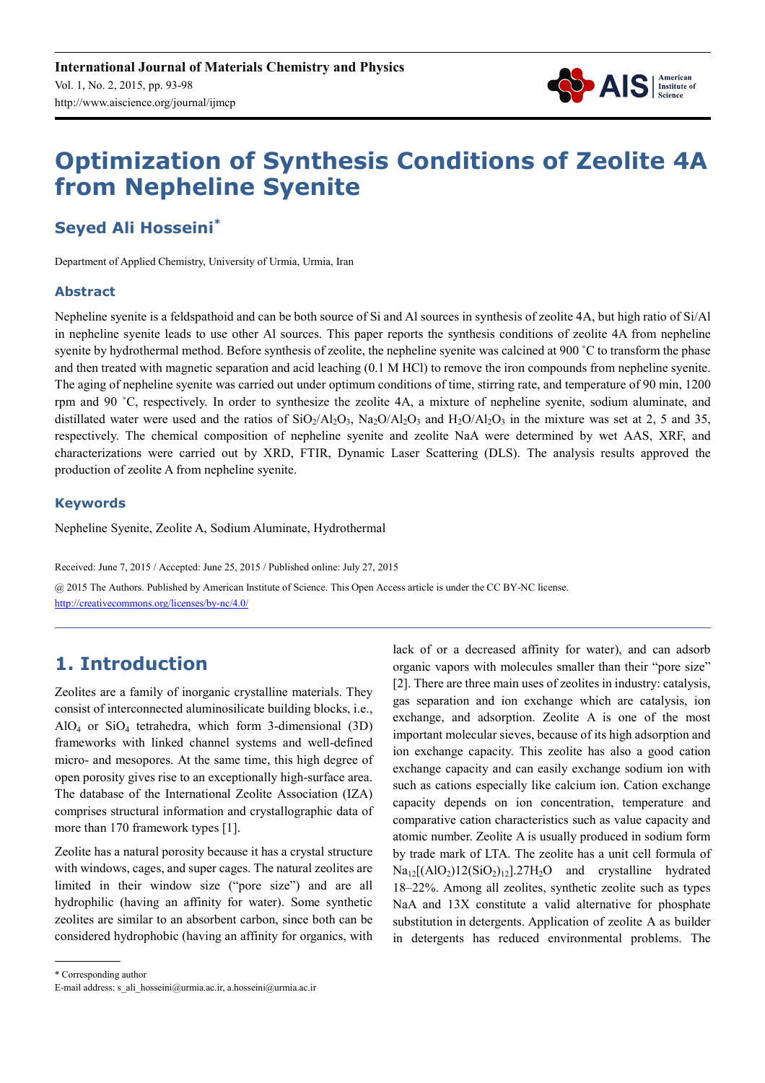

# **Optimization of Synthesis Conditions of Zeolite 4A from Nepheline Syenite**

## **Seyed Ali Hosseini\***

Department of Applied Chemistry, University of Urmia, Urmia, Iran

#### **Abstract**

Nepheline syenite is a feldspathoid and can be both source of Si and Al sources in synthesis of zeolite 4A, but high ratio of Si/Al in nepheline syenite leads to use other Al sources. This paper reports the synthesis conditions of zeolite 4A from nepheline syenite by hydrothermal method. Before synthesis of zeolite, the nepheline syenite was calcined at 900 ˚C to transform the phase and then treated with magnetic separation and acid leaching (0.1 M HCl) to remove the iron compounds from nepheline syenite. The aging of nepheline syenite was carried out under optimum conditions of time, stirring rate, and temperature of 90 min, 1200 rpm and 90 ˚C, respectively. In order to synthesize the zeolite 4A, a mixture of nepheline syenite, sodium aluminate, and distillated water were used and the ratios of  $SiO_2/Al_2O_3$ , Na<sub>2</sub>O/ $Al_2O_3$  and  $H_2O/Al_2O_3$  in the mixture was set at 2, 5 and 35, respectively. The chemical composition of nepheline syenite and zeolite NaA were determined by wet AAS, XRF, and characterizations were carried out by XRD, FTIR, Dynamic Laser Scattering (DLS). The analysis results approved the production of zeolite A from nepheline syenite.

#### **Keywords**

Nepheline Syenite, Zeolite A, Sodium Aluminate, Hydrothermal

Received: June 7, 2015 / Accepted: June 25, 2015 / Published online: July 27, 2015

@ 2015 The Authors. Published by American Institute of Science. This Open Access article is under the CC BY-NC license. http://creativecommons.org/licenses/by-nc/4.0/

# **1. Introduction**

Zeolites are a family of inorganic crystalline materials. They consist of interconnected aluminosilicate building blocks, i.e.,  $AlO<sub>4</sub>$  or  $SiO<sub>4</sub>$  tetrahedra, which form 3-dimensional (3D) frameworks with linked channel systems and well-defined micro- and mesopores. At the same time, this high degree of open porosity gives rise to an exceptionally high-surface area. The database of the International Zeolite Association (IZA) comprises structural information and crystallographic data of more than 170 framework types [1].

Zeolite has a natural porosity because it has a crystal structure with windows, cages, and super cages. The natural zeolites are limited in their window size ("pore size") and are all hydrophilic (having an affinity for water). Some synthetic zeolites are similar to an absorbent carbon, since both can be considered hydrophobic (having an affinity for organics, with lack of or a decreased affinity for water), and can adsorb organic vapors with molecules smaller than their "pore size" [2]. There are three main uses of zeolites in industry: catalysis, gas separation and ion exchange which are catalysis, ion exchange, and adsorption. Zeolite A is one of the most important molecular sieves, because of its high adsorption and ion exchange capacity. This zeolite has also a good cation exchange capacity and can easily exchange sodium ion with such as cations especially like calcium ion. Cation exchange capacity depends on ion concentration, temperature and comparative cation characteristics such as value capacity and atomic number. Zeolite A is usually produced in sodium form by trade mark of LTA. The zeolite has a unit cell formula of  $Na<sub>12</sub>[(AlO<sub>2</sub>)12(SiO<sub>2</sub>)<sub>12</sub>]$ .27H<sub>2</sub>O and crystalline hydrated 18–22%. Among all zeolites, synthetic zeolite such as types NaA and 13X constitute a valid alternative for phosphate substitution in detergents. Application of zeolite A as builder in detergents has reduced environmental problems. The

<sup>\*</sup> Corresponding author

E-mail address: s\_ali\_hosseini@urmia.ac.ir, a.hosseini@urmia.ac.ir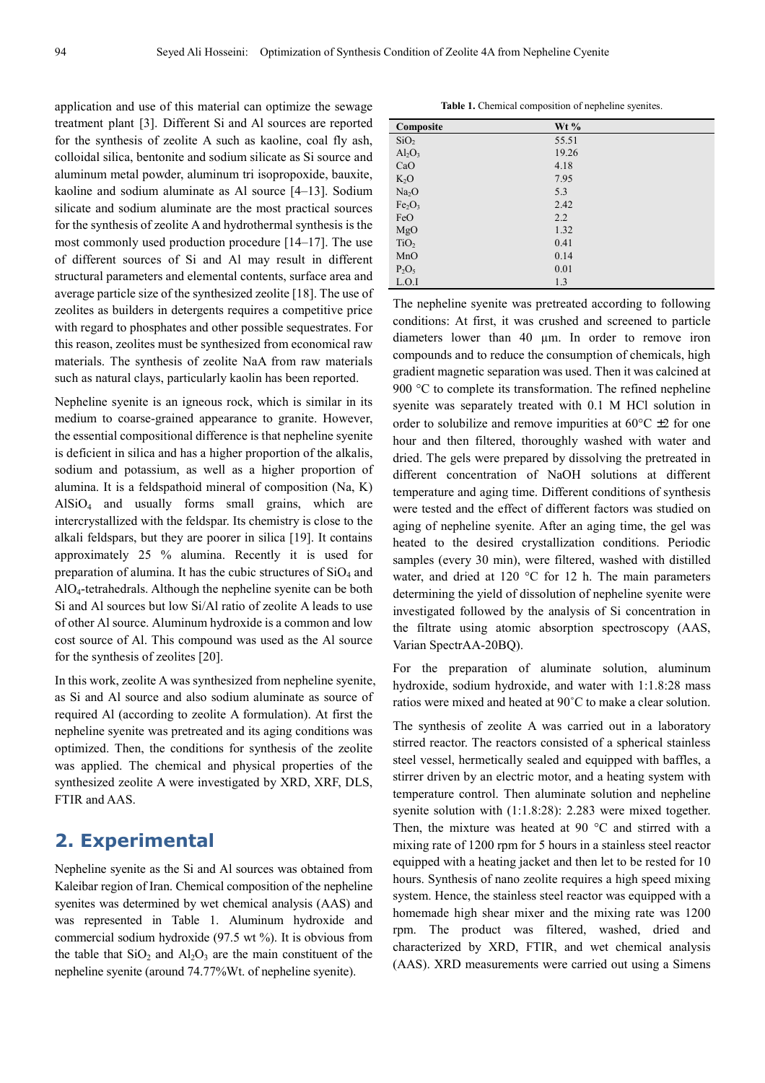application and use of this material can optimize the sewage treatment plant [3]. Different Si and Al sources are reported for the synthesis of zeolite A such as kaoline, coal fly ash, colloidal silica, bentonite and sodium silicate as Si source and aluminum metal powder, aluminum tri isopropoxide, bauxite, kaoline and sodium aluminate as Al source [4–13]. Sodium silicate and sodium aluminate are the most practical sources for the synthesis of zeolite A and hydrothermal synthesis is the most commonly used production procedure [14–17]. The use of different sources of Si and Al may result in different structural parameters and elemental contents, surface area and average particle size of the synthesized zeolite [18]. The use of zeolites as builders in detergents requires a competitive price with regard to phosphates and other possible sequestrates. For this reason, zeolites must be synthesized from economical raw materials. The synthesis of zeolite NaA from raw materials such as natural clays, particularly kaolin has been reported.

Nepheline syenite is an igneous rock, which is similar in its medium to coarse-grained appearance to granite. However, the essential compositional difference is that nepheline syenite is deficient in silica and has a higher proportion of the alkalis, sodium and potassium, as well as a higher proportion of alumina. It is a feldspathoid mineral of composition (Na, K) AlSiO4 and usually forms small grains, which are intercrystallized with the feldspar. Its chemistry is close to the alkali feldspars, but they are poorer in silica [19]. It contains approximately 25 % alumina. Recently it is used for preparation of alumina. It has the cubic structures of  $SiO<sub>4</sub>$  and AlO4-tetrahedrals. Although the nepheline syenite can be both Si and Al sources but low Si/Al ratio of zeolite A leads to use of other Al source. Aluminum hydroxide is a common and low cost source of Al. This compound was used as the Al source for the synthesis of zeolites [20].

In this work, zeolite A was synthesized from nepheline syenite, as Si and Al source and also sodium aluminate as source of required Al (according to zeolite A formulation). At first the nepheline syenite was pretreated and its aging conditions was optimized. Then, the conditions for synthesis of the zeolite was applied. The chemical and physical properties of the synthesized zeolite A were investigated by XRD, XRF, DLS, FTIR and AAS.

### **2. Experimental**

Nepheline syenite as the Si and Al sources was obtained from Kaleibar region of Iran. Chemical composition of the nepheline syenites was determined by wet chemical analysis (AAS) and was represented in Table 1. Aluminum hydroxide and commercial sodium hydroxide (97.5 wt %). It is obvious from the table that  $SiO_2$  and  $Al_2O_3$  are the main constituent of the nepheline syenite (around 74.77%Wt. of nepheline syenite).

Table 1. Chemical composition of nepheline syenites.

| Composite                      | $Wt\%$ |
|--------------------------------|--------|
| SiO <sub>2</sub>               | 55.51  |
| $Al_2O_3$                      | 19.26  |
| CaO                            | 4.18   |
| $K_2O$                         | 7.95   |
| Na <sub>2</sub> O              | 5.3    |
| Fe <sub>2</sub> O <sub>3</sub> | 2.42   |
| FeO                            | 2.2    |
| MgO                            | 1.32   |
| TiO <sub>2</sub>               | 0.41   |
| MnO                            | 0.14   |
| $P_2O_5$                       | 0.01   |
| L.O.I                          | 1.3    |

The nepheline syenite was pretreated according to following conditions: At first, it was crushed and screened to particle diameters lower than 40 µm. In order to remove iron compounds and to reduce the consumption of chemicals, high gradient magnetic separation was used. Then it was calcined at 900 °C to complete its transformation. The refined nepheline syenite was separately treated with 0.1 M HCl solution in order to solubilize and remove impurities at  $60^{\circ}$ C  $\pm$ 2 for one hour and then filtered, thoroughly washed with water and dried. The gels were prepared by dissolving the pretreated in different concentration of NaOH solutions at different temperature and aging time. Different conditions of synthesis were tested and the effect of different factors was studied on aging of nepheline syenite. After an aging time, the gel was heated to the desired crystallization conditions. Periodic samples (every 30 min), were filtered, washed with distilled water, and dried at 120 °C for 12 h. The main parameters determining the yield of dissolution of nepheline syenite were investigated followed by the analysis of Si concentration in the filtrate using atomic absorption spectroscopy (AAS, Varian SpectrAA-20BQ).

For the preparation of aluminate solution, aluminum hydroxide, sodium hydroxide, and water with 1:1.8:28 mass ratios were mixed and heated at 90˚C to make a clear solution.

The synthesis of zeolite A was carried out in a laboratory stirred reactor. The reactors consisted of a spherical stainless steel vessel, hermetically sealed and equipped with baffles, a stirrer driven by an electric motor, and a heating system with temperature control. Then aluminate solution and nepheline syenite solution with (1:1.8:28): 2.283 were mixed together. Then, the mixture was heated at 90 °C and stirred with a mixing rate of 1200 rpm for 5 hours in a stainless steel reactor equipped with a heating jacket and then let to be rested for 10 hours. Synthesis of nano zeolite requires a high speed mixing system. Hence, the stainless steel reactor was equipped with a homemade high shear mixer and the mixing rate was 1200 rpm. The product was filtered, washed, dried and characterized by XRD, FTIR, and wet chemical analysis (AAS). XRD measurements were carried out using a Simens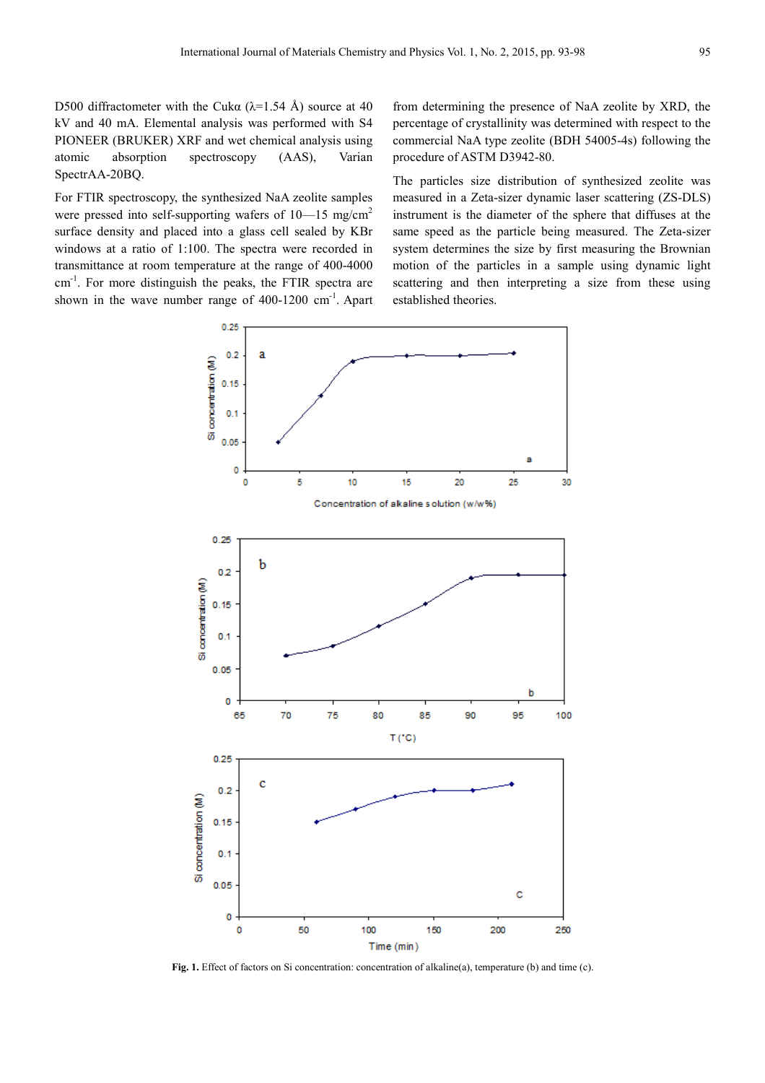D500 diffractometer with the Cuka  $(\lambda=1.54 \text{ Å})$  source at 40 kV and 40 mA. Elemental analysis was performed with S4 PIONEER (BRUKER) XRF and wet chemical analysis using atomic absorption spectroscopy (AAS), Varian SpectrAA-20BQ.

For FTIR spectroscopy, the synthesized NaA zeolite samples were pressed into self-supporting wafers of  $10-15$  mg/cm<sup>2</sup> surface density and placed into a glass cell sealed by KBr windows at a ratio of 1:100. The spectra were recorded in transmittance at room temperature at the range of 400-4000 cm-1. For more distinguish the peaks, the FTIR spectra are shown in the wave number range of  $400-1200$  cm<sup>-1</sup>. Apart from determining the presence of NaA zeolite by XRD, the percentage of crystallinity was determined with respect to the commercial NaA type zeolite (BDH 54005-4s) following the procedure of ASTM D3942-80.

The particles size distribution of synthesized zeolite was measured in a Zeta-sizer dynamic laser scattering (ZS-DLS) instrument is the diameter of the sphere that diffuses at the same speed as the particle being measured. The Zeta-sizer system determines the size by first measuring the Brownian motion of the particles in a sample using dynamic light scattering and then interpreting a size from these using established theories.



**Fig. 1.** Effect of factors on Si concentration: concentration of alkaline(a), temperature (b) and time (c).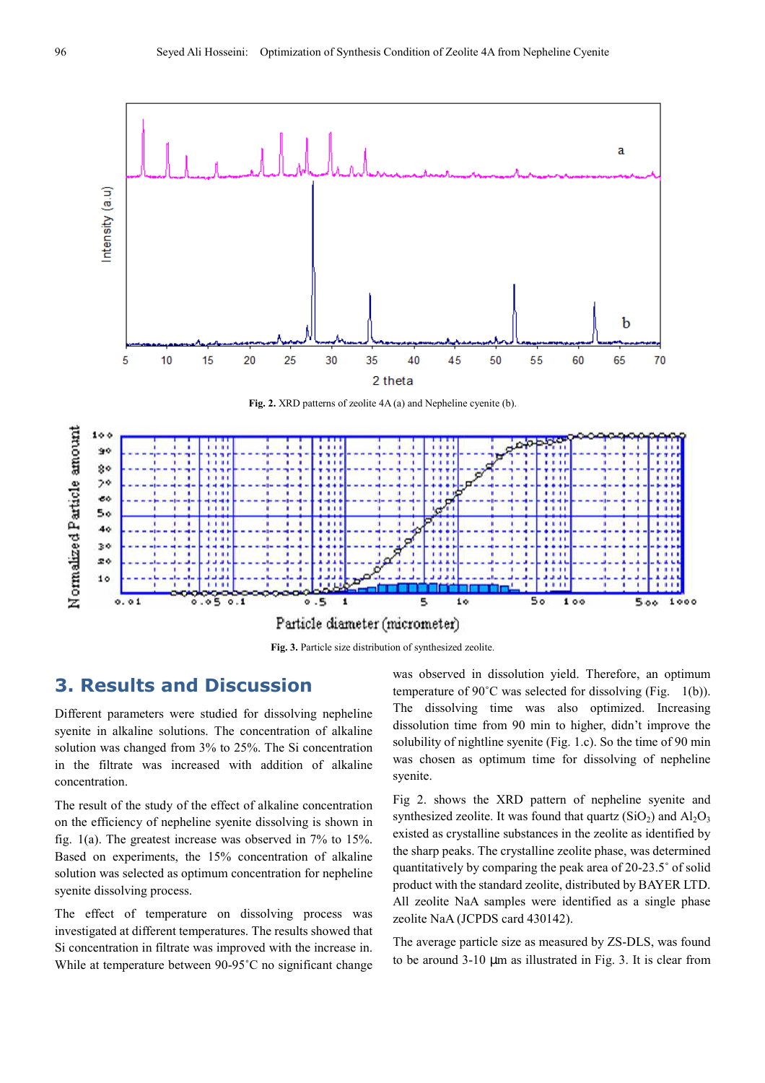

**Fig. 2.** XRD patterns of zeolite 4A (a) and Nepheline cyenite (b).



**Fig. 3.** Particle size distribution of synthesized zeolite.

#### **3. Results and Discussion**

Different parameters were studied for dissolving nepheline syenite in alkaline solutions. The concentration of alkaline solution was changed from 3% to 25%. The Si concentration in the filtrate was increased with addition of alkaline concentration.

The result of the study of the effect of alkaline concentration on the efficiency of nepheline syenite dissolving is shown in fig. 1(a). The greatest increase was observed in 7% to 15%. Based on experiments, the 15% concentration of alkaline solution was selected as optimum concentration for nepheline syenite dissolving process.

The effect of temperature on dissolving process was investigated at different temperatures. The results showed that Si concentration in filtrate was improved with the increase in. While at temperature between 90-95°C no significant change

was observed in dissolution yield. Therefore, an optimum temperature of 90˚C was selected for dissolving (Fig. 1(b)). The dissolving time was also optimized. Increasing dissolution time from 90 min to higher, didn't improve the solubility of nightline syenite (Fig. 1.c). So the time of 90 min was chosen as optimum time for dissolving of nepheline syenite.

Fig 2. shows the XRD pattern of nepheline syenite and synthesized zeolite. It was found that quartz  $(SiO<sub>2</sub>)$  and  $Al<sub>2</sub>O<sub>3</sub>$ existed as crystalline substances in the zeolite as identified by the sharp peaks. The crystalline zeolite phase, was determined quantitatively by comparing the peak area of 20-23.5˚ of solid product with the standard zeolite, distributed by BAYER LTD. All zeolite NaA samples were identified as a single phase zeolite NaA (JCPDS card 430142).

The average particle size as measured by ZS-DLS, was found to be around 3-10 µm as illustrated in Fig. 3. It is clear from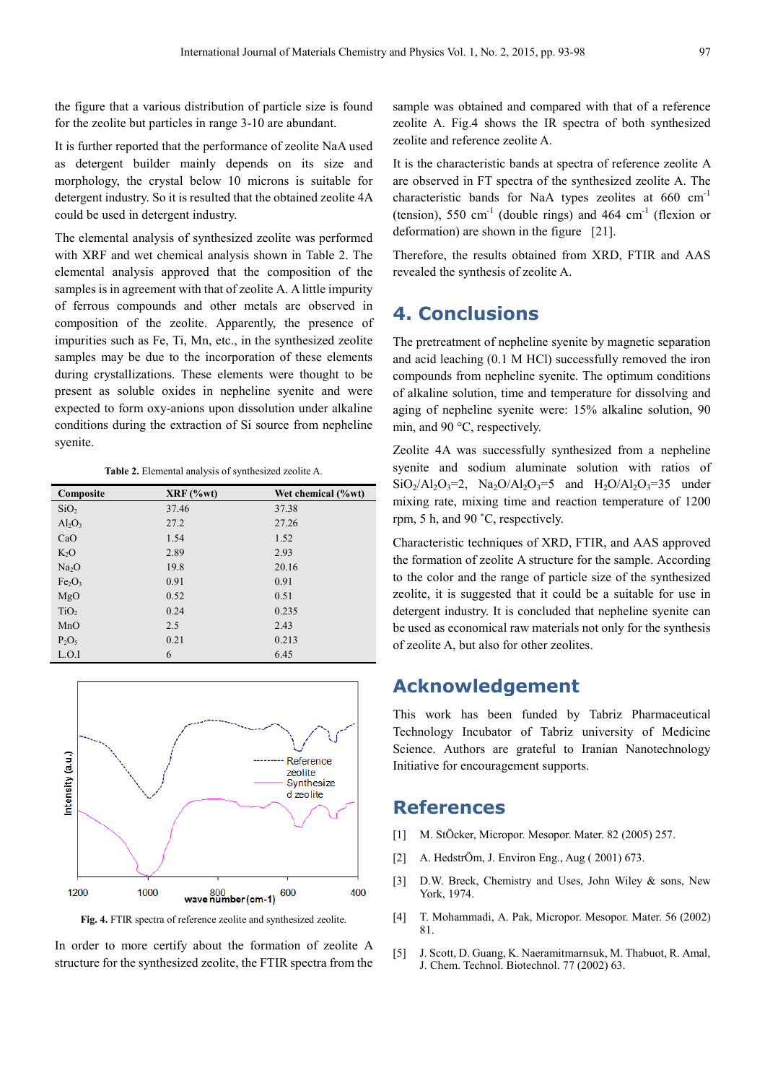the figure that a various distribution of particle size is found for the zeolite but particles in range 3-10 are abundant.

It is further reported that the performance of zeolite NaA used as detergent builder mainly depends on its size and morphology, the crystal below 10 microns is suitable for detergent industry. So it is resulted that the obtained zeolite 4A could be used in detergent industry.

The elemental analysis of synthesized zeolite was performed with XRF and wet chemical analysis shown in Table 2. The elemental analysis approved that the composition of the samples is in agreement with that of zeolite A. A little impurity of ferrous compounds and other metals are observed in composition of the zeolite. Apparently, the presence of impurities such as Fe, Ti, Mn, etc., in the synthesized zeolite samples may be due to the incorporation of these elements during crystallizations. These elements were thought to be present as soluble oxides in nepheline syenite and were expected to form oxy-anions upon dissolution under alkaline conditions during the extraction of Si source from nepheline syenite.

**Table 2.** Elemental analysis of synthesized zeolite A.

| Composite                      | $XRF$ (%wt) | Wet chemical (%wt) |
|--------------------------------|-------------|--------------------|
| SiO <sub>2</sub>               | 37.46       | 37.38              |
| $Al_2O_3$                      | 27.2        | 27.26              |
| CaO                            | 1.54        | 1.52               |
| $K_2O$                         | 2.89        | 2.93               |
| Na <sub>2</sub> O              | 19.8        | 20.16              |
| Fe <sub>2</sub> O <sub>3</sub> | 0.91        | 0.91               |
| MgO                            | 0.52        | 0.51               |
| TiO <sub>2</sub>               | 0.24        | 0.235              |
| MnO                            | 2.5         | 2.43               |
| $P_2O_5$                       | 0.21        | 0.213              |
| L.O.I                          | 6           | 6.45               |



**Fig. 4.** FTIR spectra of reference zeolite and synthesized zeolite.

In order to more certify about the formation of zeolite A structure for the synthesized zeolite, the FTIR spectra from the

sample was obtained and compared with that of a reference zeolite A. Fig.4 shows the IR spectra of both synthesized zeolite and reference zeolite A.

It is the characteristic bands at spectra of reference zeolite A are observed in FT spectra of the synthesized zeolite A. The characteristic bands for NaA types zeolites at 660 cm-1 (tension), 550 cm<sup>-1</sup> (double rings) and 464 cm<sup>-1</sup> (flexion or deformation) are shown in the figure [21].

Therefore, the results obtained from XRD, FTIR and AAS revealed the synthesis of zeolite A.

### **4. Conclusions**

The pretreatment of nepheline syenite by magnetic separation and acid leaching (0.1 M HCl) successfully removed the iron compounds from nepheline syenite. The optimum conditions of alkaline solution, time and temperature for dissolving and aging of nepheline syenite were: 15% alkaline solution, 90 min, and 90 °C, respectively.

Zeolite 4A was successfully synthesized from a nepheline syenite and sodium aluminate solution with ratios of  $SiO_2/Al_2O_3=2$ ,  $Na_2O/Al_2O_3=5$  and  $H_2O/Al_2O_3=35$  under mixing rate, mixing time and reaction temperature of 1200 rpm, 5 h, and 90 ˚C, respectively.

Characteristic techniques of XRD, FTIR, and AAS approved the formation of zeolite A structure for the sample. According to the color and the range of particle size of the synthesized zeolite, it is suggested that it could be a suitable for use in detergent industry. It is concluded that nepheline syenite can be used as economical raw materials not only for the synthesis of zeolite A, but also for other zeolites.

### **Acknowledgement**

This work has been funded by Tabriz Pharmaceutical Technology Incubator of Tabriz university of Medicine Science. Authors are grateful to Iranian Nanotechnology Initiative for encouragement supports.

#### **References**

- [1] M. StÖcker, Micropor. Mesopor. Mater. 82 (2005) 257.
- [2] A. HedstrÖm, J. Environ Eng., Aug ( 2001) 673.
- [3] D.W. Breck, Chemistry and Uses, John Wiley & sons, New York, 1974.
- [4] T. Mohammadi, A. Pak, Micropor. Mesopor. Mater. 56 (2002) 81.
- [5] J. Scott, D. Guang, K. Naeramitmarnsuk, M. Thabuot, R. Amal, J. Chem. Technol. Biotechnol. 77 (2002) 63.